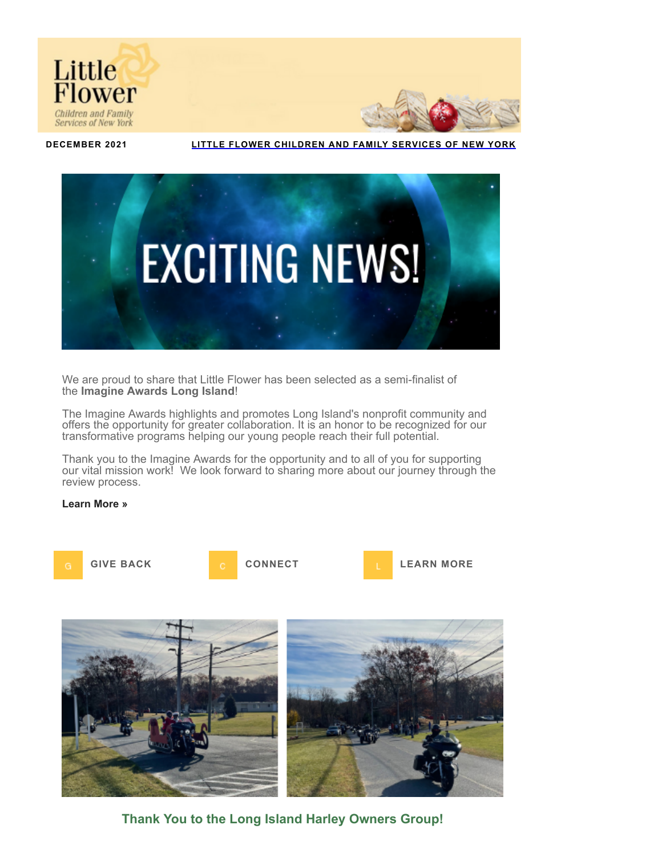



**DECEMBER 2021 LITTLE FLOWER [CHILDREN](https://nam11.safelinks.protection.outlook.com/?url=https%3A%2F%2Flittleflowerny.thankyou4caring.org%2Fpage.redir%3Ftarget%3Dhttp%253a%252f%252fwww.littleflowerny.org%26srcid%3D5311%26srctid%3D1%26erid%3D440576%26trid%3D&data=04%7C01%7CHarryt%40lfchild.org%7C4a6da708ceb640bd424e08d9ca304d33%7C33cea32f87444f6eb3959f6a77d8dc7a%7C0%7C0%7C637763131098213933%7CUnknown%7CTWFpbGZsb3d8eyJWIjoiMC4wLjAwMDAiLCJQIjoiV2luMzIiLCJBTiI6Ik1haWwiLCJXVCI6Mn0%3D%7C3000&sdata=ryjJTwM5cQkewLB9rQ1Omf632oWvQsrXAvw1tg27mSM%3D&reserved=0) AND FAMILY SERVICES OF NEW YORK**



We are proud to share that Little Flower has been selected as a semi-finalist of the **Imagine Awards Long Island**!

The Imagine Awards highlights and promotes Long Island's nonprofit community and offers the opportunity for greater collaboration. It is an honor to be recognized for our transformative programs helping our young people reach their full potential.

Thank you to the Imagine Awards for the opportunity and to all of you for supporting our vital mission work! We look forward to sharing more about our journey through the review process.

#### **[Learn More »](https://nam11.safelinks.protection.outlook.com/?url=https%3A%2F%2Flittleflowerny.thankyou4caring.org%2Fpage.redir%3Ftarget%3Dhttp%253a%252f%252fimagineawardsli.com%252ffinalist%252f%26srcid%3D5311%26srctid%3D1%26erid%3D440576%26trid%3D&data=04%7C01%7CHarryt%40lfchild.org%7C4a6da708ceb640bd424e08d9ca304d33%7C33cea32f87444f6eb3959f6a77d8dc7a%7C0%7C0%7C637763131098223930%7CUnknown%7CTWFpbGZsb3d8eyJWIjoiMC4wLjAwMDAiLCJQIjoiV2luMzIiLCJBTiI6Ik1haWwiLCJXVCI6Mn0%3D%7C3000&sdata=GoWfYY4TI1cKhI8HUL3tu3Zt2hkx41Z3ZIJCigCHdG8%3D&reserved=0)**





**Thank You to the Long Island Harley Owners Group!**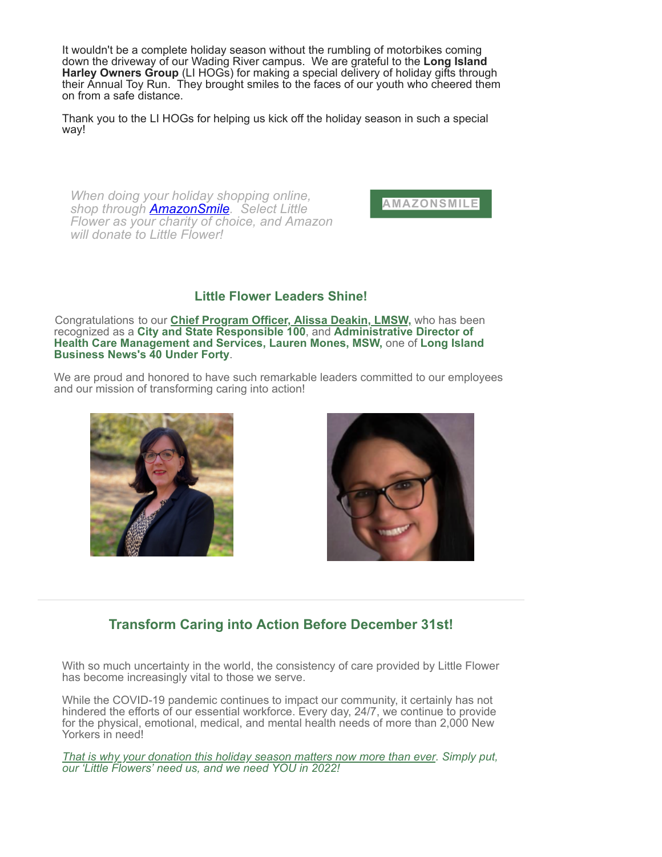It wouldn't be a complete holiday season without the rumbling of motorbikes coming down the driveway of our Wading River campus. We are grateful to the **Long Island Harley Owners Group** (LI HOGs) for making a special delivery of holiday gifts through their Annual Toy Run. They brought smiles to the faces of our youth who cheered them on from a safe distance.

Thank you to the LI HOGs for helping us kick off the holiday season in such a special way!

*When doing your holiday shopping online, shop through [AmazonSmile.](https://nam11.safelinks.protection.outlook.com/?url=https%3A%2F%2Flittleflowerny.thankyou4caring.org%2Fpage.redir%3Ftarget%3Dhttp%253a%252f%252fsmile.amazon.com%252fch%252f11-1633572%26srcid%3D5311%26srctid%3D1%26erid%3D440576%26trid%3D&data=04%7C01%7CHarryt%40lfchild.org%7C4a6da708ceb640bd424e08d9ca304d33%7C33cea32f87444f6eb3959f6a77d8dc7a%7C0%7C0%7C637763131098413826%7CUnknown%7CTWFpbGZsb3d8eyJWIjoiMC4wLjAwMDAiLCJQIjoiV2luMzIiLCJBTiI6Ik1haWwiLCJXVCI6Mn0%3D%7C3000&sdata=z44COXI4Rip6w6efOtSwJX9VetE4e0WaIfVDjremJko%3D&reserved=0) Select Little Flower as your charity of choice, and Amazon will donate to Little Flower!*

**[AMAZONSMILE](https://nam11.safelinks.protection.outlook.com/?url=https%3A%2F%2Flittleflowerny.thankyou4caring.org%2Fpage.redir%3Ftarget%3Dhttp%253a%252f%252fsmile.amazon.com%252fch%252f11-1633572%26srcid%3D5311%26srctid%3D1%26erid%3D440576%26trid%3D&data=04%7C01%7CHarryt%40lfchild.org%7C4a6da708ceb640bd424e08d9ca304d33%7C33cea32f87444f6eb3959f6a77d8dc7a%7C0%7C0%7C637763131098423820%7CUnknown%7CTWFpbGZsb3d8eyJWIjoiMC4wLjAwMDAiLCJQIjoiV2luMzIiLCJBTiI6Ik1haWwiLCJXVCI6Mn0%3D%7C3000&sdata=B3iOmws%2FosZcoNUu2GAB6Ftg7NSC%2BS3aS3MVvsn0IBs%3D&reserved=0)**

### **Little Flower Leaders Shine!**

Congratulations to our **[Chief Program Officer, Alissa Deakin, LMSW,](https://nam11.safelinks.protection.outlook.com/?url=https%3A%2F%2Flittleflowerny.thankyou4caring.org%2Fpage.redir%3Ftarget%3Dhttp%253a%252f%252fwww.littleflowerny.org%252fabout-2%252fexecutive-staff%252falissa-deakin%252f%26srcid%3D5311%26srctid%3D1%26erid%3D440576%26trid%3D&data=04%7C01%7CHarryt%40lfchild.org%7C4a6da708ceb640bd424e08d9ca304d33%7C33cea32f87444f6eb3959f6a77d8dc7a%7C0%7C0%7C637763131098433811%7CUnknown%7CTWFpbGZsb3d8eyJWIjoiMC4wLjAwMDAiLCJQIjoiV2luMzIiLCJBTiI6Ik1haWwiLCJXVCI6Mn0%3D%7C3000&sdata=7qSagsABjxi3oS2OlaUIuT1mLYv9sZttuYaIUEjBJ0k%3D&reserved=0)** who has been recognized as a **City and State Responsible 100**, and **Administrative Director of Health Care Management and Services, Lauren Mones, MSW,** one of **Long Island Business News's 40 Under Forty**.

We are proud and honored to have such remarkable leaders committed to our employees and our mission of transforming caring into action!





## **Transform Caring into Action Before December 31st!**

With so much uncertainty in the world, the consistency of care provided by Little Flower has become increasingly vital to those we serve.

While the COVID-19 pandemic continues to impact our community, it certainly has not hindered the efforts of our essential workforce. Every day, 24/7, we continue to provide for the physical, emotional, medical, and mental health needs of more than 2,000 New Yorkers in need!

*[That is why your donation this holiday season matters now more than ever](https://nam11.safelinks.protection.outlook.com/?url=https%3A%2F%2Flittleflowerny.thankyou4caring.org%2Fdonatenow%3Fsrctid%3D1%26erid%3D440576%26trid%3D&data=04%7C01%7CHarryt%40lfchild.org%7C4a6da708ceb640bd424e08d9ca304d33%7C33cea32f87444f6eb3959f6a77d8dc7a%7C0%7C0%7C637763131098433811%7CUnknown%7CTWFpbGZsb3d8eyJWIjoiMC4wLjAwMDAiLCJQIjoiV2luMzIiLCJBTiI6Ik1haWwiLCJXVCI6Mn0%3D%7C3000&sdata=NessQc%2F9aCClQFH2R7pJPMqZ0r4La5qjWsRmcULQLEY%3D&reserved=0). Simply put, our 'Little Flowers' need us, and we need YOU in 2022!*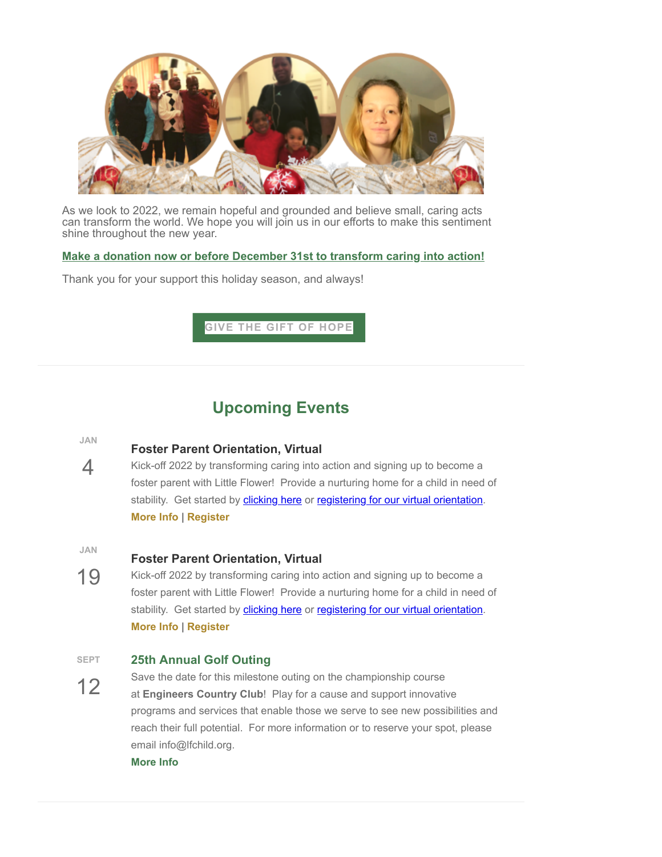

As we look to 2022, we remain hopeful and grounded and believe small, caring acts can transform the world. We hope you will join us in our efforts to make this sentiment shine throughout the new year.

#### **[Make a donation now or before December 31st to transform caring into action!](https://nam11.safelinks.protection.outlook.com/?url=https%3A%2F%2Flittleflowerny.thankyou4caring.org%2Fdonatenow%3Fsrctid%3D1%26erid%3D440576%26trid%3D&data=04%7C01%7CHarryt%40lfchild.org%7C4a6da708ceb640bd424e08d9ca304d33%7C33cea32f87444f6eb3959f6a77d8dc7a%7C0%7C0%7C637763131098443806%7CUnknown%7CTWFpbGZsb3d8eyJWIjoiMC4wLjAwMDAiLCJQIjoiV2luMzIiLCJBTiI6Ik1haWwiLCJXVCI6Mn0%3D%7C3000&sdata=%2FcBdhjMpnXBvpCpWGlOP5IVfuM9OFdqYP1cmChxL1kE%3D&reserved=0)**

Thank you for your support this holiday season, and always!

#### **GIVE THE GIFT OF [HOPE](https://nam11.safelinks.protection.outlook.com/?url=https%3A%2F%2Flittleflowerny.thankyou4caring.org%2Fpages%2Fgloria--ella-run-the-spartan-sprint-race%3Fsrctid%3D1%26erid%3D440576%26trid%3D&data=04%7C01%7CHarryt%40lfchild.org%7C4a6da708ceb640bd424e08d9ca304d33%7C33cea32f87444f6eb3959f6a77d8dc7a%7C0%7C0%7C637763131098443806%7CUnknown%7CTWFpbGZsb3d8eyJWIjoiMC4wLjAwMDAiLCJQIjoiV2luMzIiLCJBTiI6Ik1haWwiLCJXVCI6Mn0%3D%7C3000&sdata=UJ%2FozYgpgdeV0l2VK3dX7SOm8N0VoIIYYFHTjOUNKiY%3D&reserved=0)**

# **Upcoming Events**

**JAN**

4

#### **Foster Parent Orientation, Virtual**

Kick-off 2022 by transforming caring into action and signing up to become a foster parent with Little Flower! Provide a nurturing home for a child in need of stability. Get started by [clicking here](https://nam11.safelinks.protection.outlook.com/?url=https%3A%2F%2Flittleflowerny.thankyou4caring.org%2Fpage.redir%3Ftarget%3Dhttp%253a%252f%252fwww.littleflowerny.org%252fget-involved%252fbecome-a-foster-parent%252f%26srcid%3D5311%26srctid%3D1%26erid%3D440576%26trid%3D&data=04%7C01%7CHarryt%40lfchild.org%7C4a6da708ceb640bd424e08d9ca304d33%7C33cea32f87444f6eb3959f6a77d8dc7a%7C0%7C0%7C637763131098453801%7CUnknown%7CTWFpbGZsb3d8eyJWIjoiMC4wLjAwMDAiLCJQIjoiV2luMzIiLCJBTiI6Ik1haWwiLCJXVCI6Mn0%3D%7C3000&sdata=vML7F1rJ9NXNmS%2BDO4gWqVMgC6ame0gBofg7UcObh2Y%3D&reserved=0) or [registering for our virtual orientation.](https://nam11.safelinks.protection.outlook.com/?url=https%3A%2F%2Flittleflowerny.thankyou4caring.org%2Fpage.redir%3Ftarget%3Dhttp%253a%252f%252fwww.littleflowerny.org%252fevent%252ffp-orientation-virtual-1-4-22%252f%253finstance_id%253d1699%26srcid%3D5311%26srctid%3D1%26erid%3D440576%26trid%3D&data=04%7C01%7CHarryt%40lfchild.org%7C4a6da708ceb640bd424e08d9ca304d33%7C33cea32f87444f6eb3959f6a77d8dc7a%7C0%7C0%7C637763131098463801%7CUnknown%7CTWFpbGZsb3d8eyJWIjoiMC4wLjAwMDAiLCJQIjoiV2luMzIiLCJBTiI6Ik1haWwiLCJXVCI6Mn0%3D%7C3000&sdata=Xv5cKKjfujcTcj7%2FvYF5%2FUUBT7S3EMT7ltdhuRyRIoc%3D&reserved=0) **[More Info](https://nam11.safelinks.protection.outlook.com/?url=https%3A%2F%2Flittleflowerny.thankyou4caring.org%2Fpage.redir%3Ftarget%3Dhttp%253a%252f%252fwww.littleflowerny.org%252fevent%252ffp-orientation-virtual-1-4-22%252f%253finstance_id%253d1699%26srcid%3D5311%26srctid%3D1%26erid%3D440576%26trid%3D&data=04%7C01%7CHarryt%40lfchild.org%7C4a6da708ceb640bd424e08d9ca304d33%7C33cea32f87444f6eb3959f6a77d8dc7a%7C0%7C0%7C637763131098463801%7CUnknown%7CTWFpbGZsb3d8eyJWIjoiMC4wLjAwMDAiLCJQIjoiV2luMzIiLCJBTiI6Ik1haWwiLCJXVCI6Mn0%3D%7C3000&sdata=Xv5cKKjfujcTcj7%2FvYF5%2FUUBT7S3EMT7ltdhuRyRIoc%3D&reserved=0) | [Register](https://nam11.safelinks.protection.outlook.com/?url=https%3A%2F%2Flittleflowerny.thankyou4caring.org%2Fpage.redir%3Ftarget%3Dhttp%253a%252f%252fwww.littleflowerny.org%252fevent%252ffp-orientation-virtual-1-4-22%252f%253finstance_id%253d1699%26srcid%3D5311%26srctid%3D1%26erid%3D440576%26trid%3D&data=04%7C01%7CHarryt%40lfchild.org%7C4a6da708ceb640bd424e08d9ca304d33%7C33cea32f87444f6eb3959f6a77d8dc7a%7C0%7C0%7C637763131098473800%7CUnknown%7CTWFpbGZsb3d8eyJWIjoiMC4wLjAwMDAiLCJQIjoiV2luMzIiLCJBTiI6Ik1haWwiLCJXVCI6Mn0%3D%7C3000&sdata=7N6SCKJdmk41%2Fo3abSTSSayTSgI6OT%2FKJfvPUUxxekM%3D&reserved=0)**

**JAN**

#### **Foster Parent Orientation, Virtual**

19 Kick-off 2022 by transforming caring into action and signing up to become a foster parent with Little Flower! Provide a nurturing home for a child in need of stability. Get started by **[clicking here](https://nam11.safelinks.protection.outlook.com/?url=https%3A%2F%2Flittleflowerny.thankyou4caring.org%2Fpage.redir%3Ftarget%3Dhttp%253a%252f%252fwww.littleflowerny.org%252fget-involved%252fbecome-a-foster-parent%252f%26srcid%3D5311%26srctid%3D1%26erid%3D440576%26trid%3D&data=04%7C01%7CHarryt%40lfchild.org%7C4a6da708ceb640bd424e08d9ca304d33%7C33cea32f87444f6eb3959f6a77d8dc7a%7C0%7C0%7C637763131098473800%7CUnknown%7CTWFpbGZsb3d8eyJWIjoiMC4wLjAwMDAiLCJQIjoiV2luMzIiLCJBTiI6Ik1haWwiLCJXVCI6Mn0%3D%7C3000&sdata=k8saKGyCXfwSKHNWkp1rsCSFtNCYyCv62N0%2Bxn27RcU%3D&reserved=0)** or [registering for our virtual orientation.](https://nam11.safelinks.protection.outlook.com/?url=https%3A%2F%2Flittleflowerny.thankyou4caring.org%2Fpage.redir%3Ftarget%3Dhttp%253a%252f%252fwww.littleflowerny.org%252fevent%252ffp-orientation-virtual-1-4-22%252f%253finstance_id%253d1699%26srcid%3D5311%26srctid%3D1%26erid%3D440576%26trid%3D&data=04%7C01%7CHarryt%40lfchild.org%7C4a6da708ceb640bd424e08d9ca304d33%7C33cea32f87444f6eb3959f6a77d8dc7a%7C0%7C0%7C637763131098483788%7CUnknown%7CTWFpbGZsb3d8eyJWIjoiMC4wLjAwMDAiLCJQIjoiV2luMzIiLCJBTiI6Ik1haWwiLCJXVCI6Mn0%3D%7C3000&sdata=5CiB9uqOd4ZR0RxKll4Crg%2BHX5lOKeiy8z6%2FV4i0CQE%3D&reserved=0) **[More Info](https://nam11.safelinks.protection.outlook.com/?url=https%3A%2F%2Flittleflowerny.thankyou4caring.org%2Fpage.redir%3Ftarget%3Dhttp%253a%252f%252fwww.littleflowerny.org%252fevent%252ffp-orientation-virtual-1-19-22%252f%253finstance_id%253d1701%26srcid%3D5311%26srctid%3D1%26erid%3D440576%26trid%3D&data=04%7C01%7CHarryt%40lfchild.org%7C4a6da708ceb640bd424e08d9ca304d33%7C33cea32f87444f6eb3959f6a77d8dc7a%7C0%7C0%7C637763131098493785%7CUnknown%7CTWFpbGZsb3d8eyJWIjoiMC4wLjAwMDAiLCJQIjoiV2luMzIiLCJBTiI6Ik1haWwiLCJXVCI6Mn0%3D%7C3000&sdata=OPwL1I4VKMIfZR8p4RZvP0LfKJH6yPM4hUqfyprBkBs%3D&reserved=0) | [Register](https://nam11.safelinks.protection.outlook.com/?url=https%3A%2F%2Flittleflowerny.thankyou4caring.org%2Fpage.redir%3Ftarget%3Dhttp%253a%252f%252fwww.littleflowerny.org%252fevent%252ffp-orientation-virtual-1-19-22%252f%253finstance_id%253d1701%26srcid%3D5311%26srctid%3D1%26erid%3D440576%26trid%3D&data=04%7C01%7CHarryt%40lfchild.org%7C4a6da708ceb640bd424e08d9ca304d33%7C33cea32f87444f6eb3959f6a77d8dc7a%7C0%7C0%7C637763131098493785%7CUnknown%7CTWFpbGZsb3d8eyJWIjoiMC4wLjAwMDAiLCJQIjoiV2luMzIiLCJBTiI6Ik1haWwiLCJXVCI6Mn0%3D%7C3000&sdata=OPwL1I4VKMIfZR8p4RZvP0LfKJH6yPM4hUqfyprBkBs%3D&reserved=0)**

#### **SEPT 25th Annual Golf Outing**

12 Save the date for this milestone outing on the championship course at **Engineers Country Club**! Play for a cause and support innovative programs and services that enable those we serve to see new possibilities and reach their full potential. For more information or to reserve your spot, please email info@lfchild.org. **[More Info](https://nam11.safelinks.protection.outlook.com/?url=https%3A%2F%2Flittleflowerny.thankyou4caring.org%2Fpage.redir%3Ftarget%3Dhttps%253a%252f%252fwww.littleflowerny.org%252f2022-golf-outing%252f%26srcid%3D5311%26srctid%3D1%26erid%3D440576%26trid%3D&data=04%7C01%7CHarryt%40lfchild.org%7C4a6da708ceb640bd424e08d9ca304d33%7C33cea32f87444f6eb3959f6a77d8dc7a%7C0%7C0%7C637763131098503779%7CUnknown%7CTWFpbGZsb3d8eyJWIjoiMC4wLjAwMDAiLCJQIjoiV2luMzIiLCJBTiI6Ik1haWwiLCJXVCI6Mn0%3D%7C3000&sdata=2AQeBgEvMWivNYl2fD%2Bohx2lkeTzaEwKLTz6dYRFGQw%3D&reserved=0)**